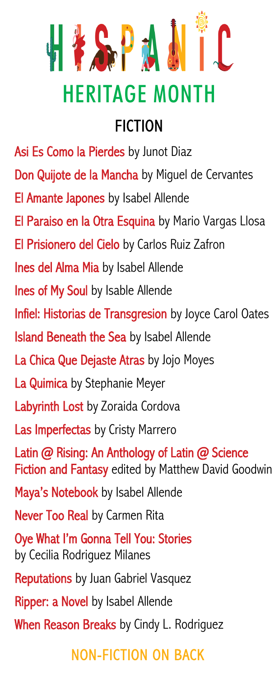

# HERITAGE MONTH

## FICTION

Asi Es Como la Pierdes by Junot Diaz Don Quijote de la Mancha by Miquel de Cervantes El Amante Japones by Isabel Allende El Paraiso en la Otra Esquina by Mario Vargas Llosa El Prisionero del Cielo by Carlos Ruiz Zafron Ines del Alma Mia by Isabel Allende **Ines of My Soul by Isable Allende** Infiel: Historias de Transgresion by Joyce Carol Oates **Island Beneath the Sea** by Isabel Allende La Chica Que Dejaste Atras by Jojo Moyes La Quimica by Stephanie Meyer **Labyrinth Lost** by Zoraida Cordova Las Imperfectas by Cristy Marrero Latin @ Rising: An Anthology of Latin @ Science Fiction and Fantasy edited by Matthew David Goodwin Maya's Notebook by Isabel Allende Never Too Real by Carmen Rita Oye What I'm Gonna Tell You: Stories by Cecilia Rodriguez Milanes **Reputations** by Juan Gabriel Vasquez Ripper: a Novel by Isabel Allende When Reason Breaks by Cindy L. Rodriguez

### NON-FICTION ON BACK